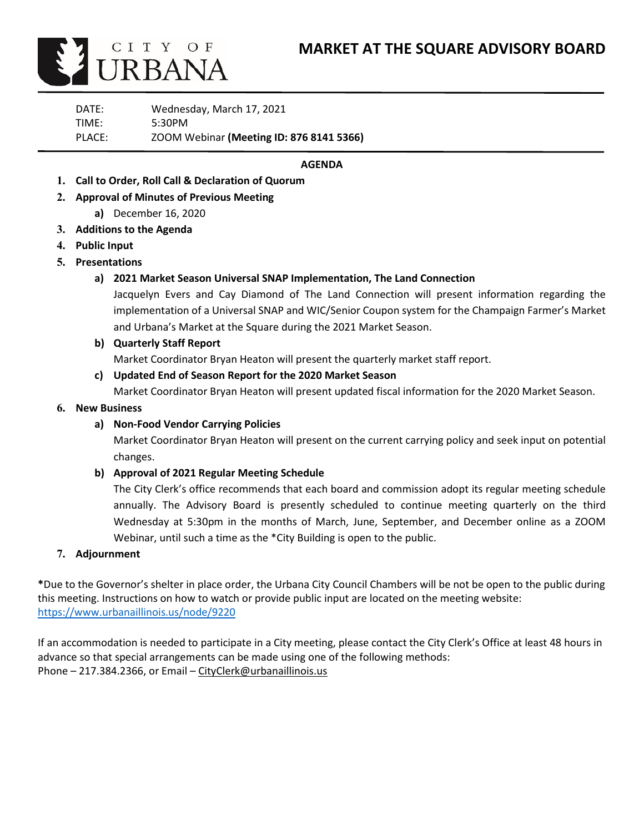

DATE: Wednesday, March 17, 2021 TIME: 5:30PM PLACE: ZOOM Webinar **(Meeting ID: 876 8141 5366)**

## **AGENDA**

- **1. Call to Order, Roll Call & Declaration of Quorum**
- **2. Approval of Minutes of Previous Meeting**
	- **a)** December 16, 2020
- **3. Additions to the Agenda**
- **4. Public Input**
- **5. Presentations**
	- **a) 2021 Market Season Universal SNAP Implementation, The Land Connection**

Jacquelyn Evers and Cay Diamond of The Land Connection will present information regarding the implementation of a Universal SNAP and WIC/Senior Coupon system for the Champaign Farmer's Market and Urbana's Market at the Square during the 2021 Market Season.

**b) Quarterly Staff Report**

Market Coordinator Bryan Heaton will present the quarterly market staff report.

**c) Updated End of Season Report for the 2020 Market Season**

Market Coordinator Bryan Heaton will present updated fiscal information for the 2020 Market Season.

## **6. New Business**

## **a) Non-Food Vendor Carrying Policies**

Market Coordinator Bryan Heaton will present on the current carrying policy and seek input on potential changes.

## **b) Approval of 2021 Regular Meeting Schedule**

The City Clerk's office recommends that each board and commission adopt its regular meeting schedule annually. The Advisory Board is presently scheduled to continue meeting quarterly on the third Wednesday at 5:30pm in the months of March, June, September, and December online as a ZOOM Webinar, until such a time as the \*City Building is open to the public.

## **7. Adjournment**

**\***Due to the Governor's shelter in place order, the Urbana City Council Chambers will be not be open to the public during this meeting. Instructions on how to watch or provide public input are located on the meeting website: <https://www.urbanaillinois.us/node/9220>

If an accommodation is needed to participate in a City meeting, please contact the City Clerk's Office at least 48 hours in advance so that special arrangements can be made using one of the following methods: Phone – 217.384.2366, or Email – [CityClerk@urbanaillinois.us](mailto:CityClerk@urbanaillinois.us)